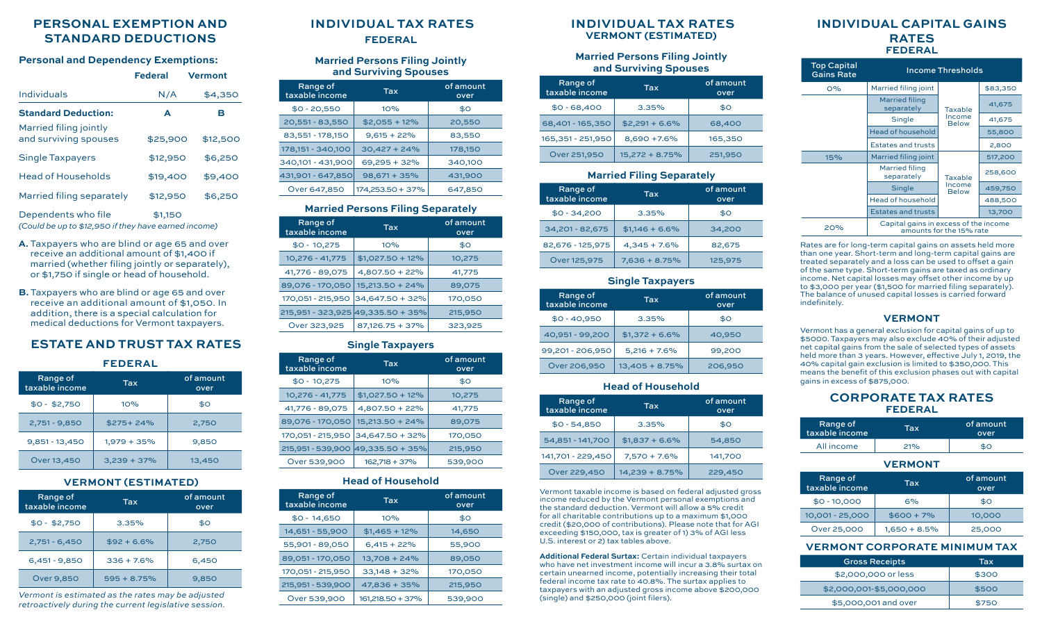# **PERSONAL EXEMPTION AND STANDARD DEDUCTIONS**

#### **Personal and Dependency Exemptions:**

|                                                 | <b>Federal</b> | <b>Vermont</b> |
|-------------------------------------------------|----------------|----------------|
| Individuals                                     | N/A            | \$4,350        |
| <b>Standard Deduction:</b>                      | A              | в              |
| Married filing jointly<br>and surviving spouses | \$25,900       | \$12,500       |
| Single Taxpayers                                | \$12,950       | \$6,250        |
| <b>Head of Households</b>                       | \$19,400       | \$9,400        |
| Married filing separately                       | \$12,950       | \$6,250        |
| Dependents who file                             | \$1,150        |                |

*(Could be up to \$12,950 if they have earned income)*

- **A.** Taxpayers who are blind or age 65 and over receive an additional amount of \$1,400 if married (whether filing jointly or separately), or \$1,750 if single or head of household.
- **B.** Taxpayers who are blind or age 65 and over receive an additional amount of \$1,050. In addition, there is a special calculation for medical deductions for Vermont taxpayers.

# **ESTATE AND TRUST TAX RATES**

**FEDERAL**

| FEDERAL                    |                         |                   |  |
|----------------------------|-------------------------|-------------------|--|
| Range of<br>taxable income | $\overline{\text{Jax}}$ | of amount<br>over |  |
| $$0 - $2,750$              | 10%                     | \$0               |  |
| $2,751 - 9,850$            | $$275+24\%$             | 2,750             |  |
| $9,851 - 13,450$           | $1,979 + 35%$           | 9,850             |  |
| Over 13,450                | $3,239 + 37\%$          | 13,450            |  |

# **VERMONT (ESTIMATED)**

| Range of<br>taxable income | Tax.           | of amount<br>over |
|----------------------------|----------------|-------------------|
| $$0 - $2,750$              | 3.35%          | \$0               |
| $2,751 - 6,450$            | $$92 + 6.6\%$  | 2,750             |
| $6,451 - 9,850$            | $336 + 7.6\%$  | 6,450             |
| <b>Over 9,850</b>          | $595 + 8.75\%$ | 9,850             |

*Vermont is estimated as the rates may be adjusted retroactively during the current legislative session.*

# **INDIVIDUAL TAX RATES**

**FEDERAL**

#### **Married Persons Filing Jointly and Surviving Spouses**

| Range of<br>taxable income | Tax              |         |
|----------------------------|------------------|---------|
| $$0 - 20,550$              | 10%              | \$0     |
| 20,551 - 83,550            | $$2,055 + 12\%$  | 20,550  |
| 83,551 - 178,150           | $9,615 + 22\%$   | 83,550  |
| 178, 151 - 340, 100        | $30,427 + 24%$   | 178,150 |
| 340,101 - 431,900          | 69,295 + 32%     | 340,100 |
| 431,901 - 647,850          | $98,671 + 35\%$  | 431,900 |
| Over 647,850               | 174,253.50 + 37% | 647,850 |

#### **Married Persons Filing Separately**

| Range of<br>taxable income | <b>Tax</b>                        | of amount<br>over |
|----------------------------|-----------------------------------|-------------------|
| $$0 - 10,275$              | 10%                               | \$0               |
| 10,276 - 41,775            | $$1,027.50 + 12\%$                | 10,275            |
| 41,776 - 89,075            | $4,807.50 + 22\%$                 | 41,775            |
| 89,076 - 170,050           | 15,213.50 + 24%                   | 89,075            |
|                            | 170,051 - 215,950 34,647.50 + 32% | 170,050           |
|                            | 215,951 - 323,925 49,335.50 + 35% | 215,950           |
| Over 323,925               | 87,126.75 + 37%                   | 323,925           |

#### **Single Taxpayers**

| Range of<br>taxable income | $\mathsf{T}$ ax                   | of amount<br>over |
|----------------------------|-----------------------------------|-------------------|
| $$0 - 10,275$              | 10%                               | \$0               |
| 10,276 - 41,775            | $$1,027.50 + 12\%$                | 10,275            |
| 41,776 - 89,075            | $4,807.50 + 22\%$                 | 41,775            |
| 89,076 - 170,050           | 15,213.50 + 24%                   | 89,075            |
| 170,051 - 215,950          | $ 34,647.50 + 32\%$               | 170,050           |
|                            | 215,951 - 539,900 49,335.50 + 35% | 215,950           |
| Over 539,900               | $162,718 + 37\%$                  | 539,900           |

## **Head of Household**

| Range of<br>taxable income | <b>Tax</b>       | of amount<br>over |
|----------------------------|------------------|-------------------|
| $$0 - 14,650$              | 10%              | \$0               |
| 14,651 - 55,900            | $$1,465 + 12\%$  | 14,650            |
| 55,901 - 89,050            | $6,415 + 22\%$   | 55,900            |
| 89,051 - 170,050           | $13,708 + 24\%$  | 89,050            |
| 170,051 - 215,950          | $33,148 + 32\%$  | 170,050           |
| 215,951 - 539,900          | $47,836 + 35%$   | 215,950           |
| Over 539,900               | 161,218.50 + 37% | 539,900           |

## **INDIVIDUAL TAX RATES VERMONT (ESTIMATED)**

#### **Married Persons Filing Jointly and Surviving Spouses**

| Range of<br>taxable income | <b>Tax</b>       | of amount<br>over |
|----------------------------|------------------|-------------------|
| $$0 - 68,400$              | 3.35%            | \$0               |
| 68,401 - 165,350           | $$2,291 + 6.6\%$ | 68,400            |
| 165,351 - 251,950          | 8,690 +7.6%      | 165,350           |
| Over 251,950               | 15,272 + 8.75%   | 251,950           |

## **Married Filing Separately**

| Range of<br>taxable income | Tax              | of amount<br>over |
|----------------------------|------------------|-------------------|
| $$0 - 34,200$              | 3.35%            |                   |
| 34,201 - 82,675            | $$1,146 + 6.6\%$ | 34,200            |
| 82,676 - 125,975           | $4,345 + 7.6\%$  | 82,675            |
| Over 125,975               | $7,636 + 8.75%$  | 125,975           |

# **Single Taxpayers**

| Range of<br>taxable income | <b>Tax</b>       | of amount<br>over |  |
|----------------------------|------------------|-------------------|--|
| $$0 - 40,950$              | 3.35%            | \$0               |  |
| 40,951 - 99,200            | $$1,372 + 6.6\%$ | 40,950            |  |
| 99,201 - 206,950           | $5,216 + 7.6\%$  | 99,200            |  |
| Over 206,950               | $13,405 + 8.75%$ | 206,950           |  |

# **Head of Household**

| Range of<br>taxable income | <b>Tax</b>       | of amount<br>over |
|----------------------------|------------------|-------------------|
| $$0 - 54,850$              | 3.35%            | \$0               |
| 54,851 - 141,700           | $$1,837 + 6.6\%$ | 54,850            |
| 141,701 - 229,450          | $7,570 + 7.6\%$  | 141,700           |
| Over 229,450               | 14,239 + 8.75%   | 229,450           |

Vermont taxable income is based on federal adjusted gross income reduced by the Vermont personal exemptions and the standard deduction. Vermont will allow a 5% credit for all charitable contributions up to a maximum \$1,000 credit (\$20,000 of contributions). Please note that for AGI exceeding \$150,000, tax is greater of 1) 3% of AGI less U.S. interest or 2) tax tables above.

**Additional Federal Surtax:** Certain individual taxpayers who have net investment income will incur a 3.8% surtax on certain unearned income, potentially increasing their total federal income tax rate to 40.8%. The surtax applies to taxpayers with an adjusted gross income above \$200,000 (single) and \$250,000 (joint filers).

# **INDIVIDUAL CAPITAL GAINS RATES FEDERAL**

| <b>Top Capital</b><br><b>Gains Rate</b> | <b>Income Thresholds</b>                                          |                                   |          |
|-----------------------------------------|-------------------------------------------------------------------|-----------------------------------|----------|
| $O\%$                                   | Married filing joint                                              |                                   | \$83,350 |
|                                         | <b>Married filing</b><br>separately                               | Taxable<br>Income<br><b>Below</b> | 41,675   |
|                                         | Single                                                            |                                   | 41,675   |
|                                         | <b>Head of household</b>                                          |                                   | 55,800   |
|                                         | <b>Estates and trusts</b>                                         |                                   | 2,800    |
| 15%                                     | Married filing joint                                              | Taxable                           | 517,200  |
|                                         | <b>Married filing</b><br>separately                               |                                   | 258,600  |
|                                         | <b>Single</b>                                                     | Income<br><b>Below</b>            | 459,750  |
|                                         | <b>Head of household</b>                                          |                                   | 488,500  |
|                                         | <b>Estates and trusts</b>                                         |                                   | 13,700   |
| 20%                                     | Capital gains in excess of the income<br>amounts for the 15% rate |                                   |          |

Rates are for long-term capital gains on assets held more than one year. Short-term and long-term capital gains are treated separately and a loss can be used to offset a gain of the same type. Short-term gains are taxed as ordinary income. Net capital losses may offset other income by up to \$3,000 per year (\$1,500 for married filing separately). The balance of unused capital losses is carried forward indefinitely.

#### **VERMONT**

Vermont has a general exclusion for capital gains of up to \$5000. Taxpayers may also exclude 40% of their adjusted net capital gains from the sale of selected types of assets held more than 3 years. However, effective July 1, 2019, the 40% capital gain exclusion is limited to \$350,000. This means the benefit of this exclusion phases out with capital gains in excess of \$875,000.

# **CORPORATE TAX RATES FEDERAL**

| Range of<br>Itaxable income | Tax | of amount<br>over |
|-----------------------------|-----|-------------------|
| All income                  | 21% | \$0               |

#### **VERMONT**

| Range of<br>taxable income | Tax             | of amount<br>over |
|----------------------------|-----------------|-------------------|
| $$0 - 10,000$              | 6%              | \$0               |
| 10,001 - 25,000            | $$600 + 7\%$    | 10,000            |
| Over 25,000                | $1,650 + 8.5\%$ | 25,000            |

## **VERMONT CORPORATE MINIMUM TAX**

| <b>Gross Receipts</b>   | Tax   |
|-------------------------|-------|
| \$2,000,000 or less     | \$300 |
| \$2,000,001-\$5,000,000 | \$500 |
| \$5,000,001 and over    | \$750 |